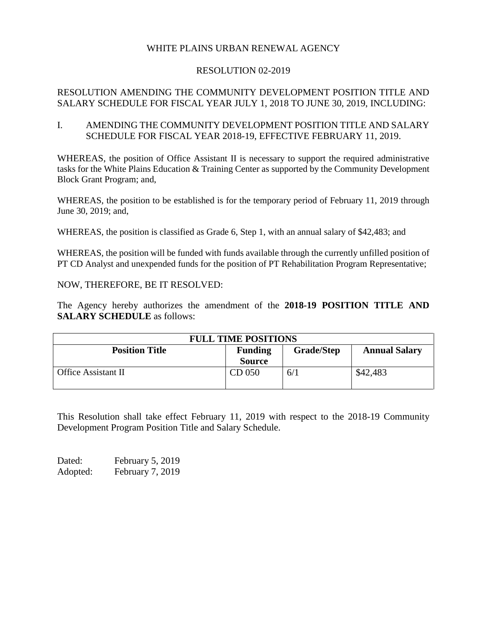## WHITE PLAINS URBAN RENEWAL AGENCY

## RESOLUTION 02-2019

## RESOLUTION AMENDING THE COMMUNITY DEVELOPMENT POSITION TITLE AND SALARY SCHEDULE FOR FISCAL YEAR JULY 1, 2018 TO JUNE 30, 2019, INCLUDING:

I. AMENDING THE COMMUNITY DEVELOPMENT POSITION TITLE AND SALARY SCHEDULE FOR FISCAL YEAR 2018-19, EFFECTIVE FEBRUARY 11, 2019.

WHEREAS, the position of Office Assistant II is necessary to support the required administrative tasks for the White Plains Education & Training Center as supported by the Community Development Block Grant Program; and,

WHEREAS, the position to be established is for the temporary period of February 11, 2019 through June 30, 2019; and,

WHEREAS, the position is classified as Grade 6, Step 1, with an annual salary of \$42,483; and

WHEREAS, the position will be funded with funds available through the currently unfilled position of PT CD Analyst and unexpended funds for the position of PT Rehabilitation Program Representative;

NOW, THEREFORE, BE IT RESOLVED:

The Agency hereby authorizes the amendment of the **2018-19 POSITION TITLE AND SALARY SCHEDULE** as follows:

| <b>FULL TIME POSITIONS</b> |                |                   |                      |
|----------------------------|----------------|-------------------|----------------------|
| <b>Position Title</b>      | <b>Funding</b> | <b>Grade/Step</b> | <b>Annual Salary</b> |
|                            | <b>Source</b>  |                   |                      |
| Office Assistant II        | CD 050         | 6/1               | \$42,483             |

This Resolution shall take effect February 11, 2019 with respect to the 2018-19 Community Development Program Position Title and Salary Schedule.

Dated: February 5, 2019 Adopted: February 7, 2019